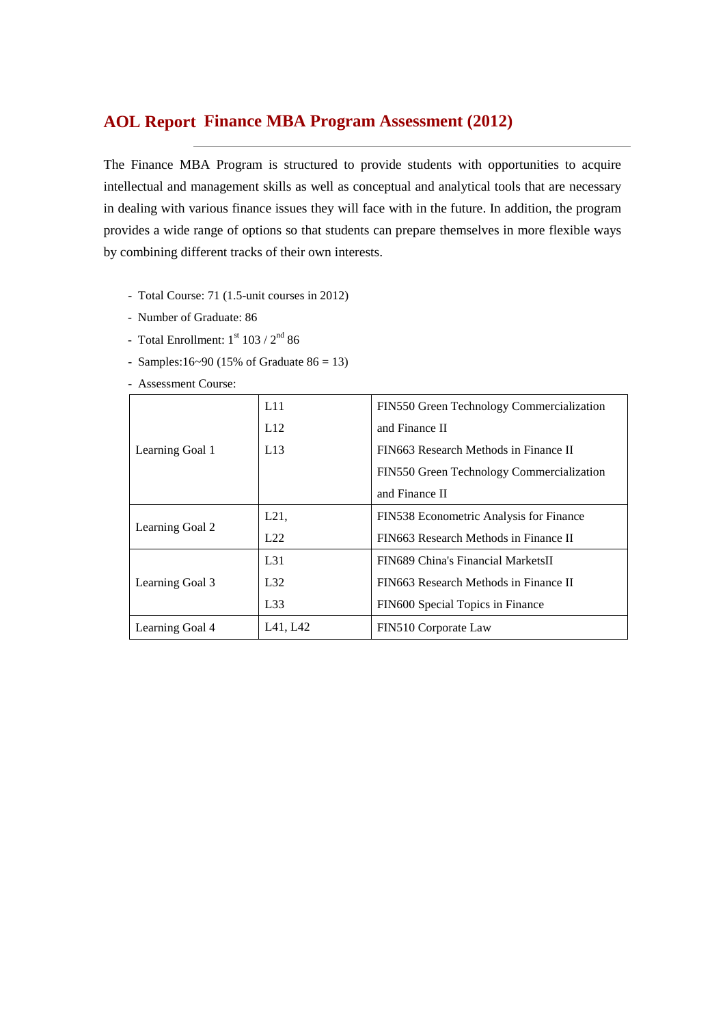# **Finance MBA Program Assessment (2012) AOL Report**

The Finance MBA Program is structured to provide students with opportunities to acquire intellectual and management skills as well as conceptual and analytical tools that are necessary in dealing with various finance issues they will face with in the future. In addition, the program provides a wide range of options so that students can prepare themselves in more flexible ways by combining different tracks of their own interests.

- Total Course: 71 (1.5-unit courses in 2012)
- Number of Graduate: 86
- Total Enrollment:  $1<sup>st</sup> 103 / 2<sup>nd</sup> 86$
- Samples:16~90 (15% of Graduate  $86 = 13$ )

- Assessment Course:

|                 | L11      | FIN550 Green Technology Commercialization |
|-----------------|----------|-------------------------------------------|
|                 | L12      | and Finance II                            |
| Learning Goal 1 | L13      | FIN663 Research Methods in Finance II     |
|                 |          | FIN550 Green Technology Commercialization |
|                 |          | and Finance II                            |
|                 | L21,     | FIN538 Econometric Analysis for Finance   |
| Learning Goal 2 | L22      | FIN663 Research Methods in Finance II     |
|                 | $L_{31}$ | FIN689 China's Financial MarketsII        |
| Learning Goal 3 | L32      | FIN663 Research Methods in Finance II     |
|                 | L33      | FIN600 Special Topics in Finance          |
| Learning Goal 4 | L41, L42 | FIN510 Corporate Law                      |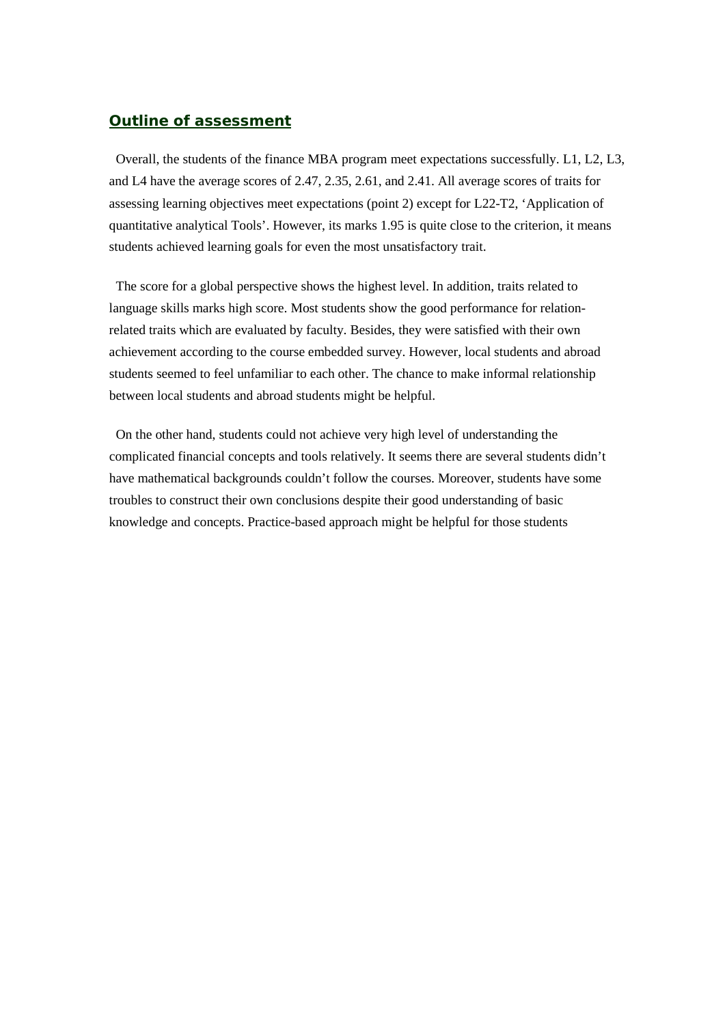## *Outline of assessment*

Overall, the students of the finance MBA program meet expectations successfully. L1, L2, L3, and L4 have the average scores of 2.47, 2.35, 2.61, and 2.41. All average scores of traits for assessing learning objectives meet expectations (point 2) except for L22-T2, 'Application of quantitative analytical Tools'. However, its marks 1.95 is quite close to the criterion, it means students achieved learning goals for even the most unsatisfactory trait.

The score for a global perspective shows the highest level. In addition, traits related to language skills marks high score. Most students show the good performance for relationrelated traits which are evaluated by faculty. Besides, they were satisfied with their own achievement according to the course embedded survey. However, local students and abroad students seemed to feel unfamiliar to each other. The chance to make informal relationship between local students and abroad students might be helpful.

On the other hand, students could not achieve very high level of understanding the complicated financial concepts and tools relatively. It seems there are several students didn't have mathematical backgrounds couldn't follow the courses. Moreover, students have some troubles to construct their own conclusions despite their good understanding of basic knowledge and concepts. Practice-based approach might be helpful for those students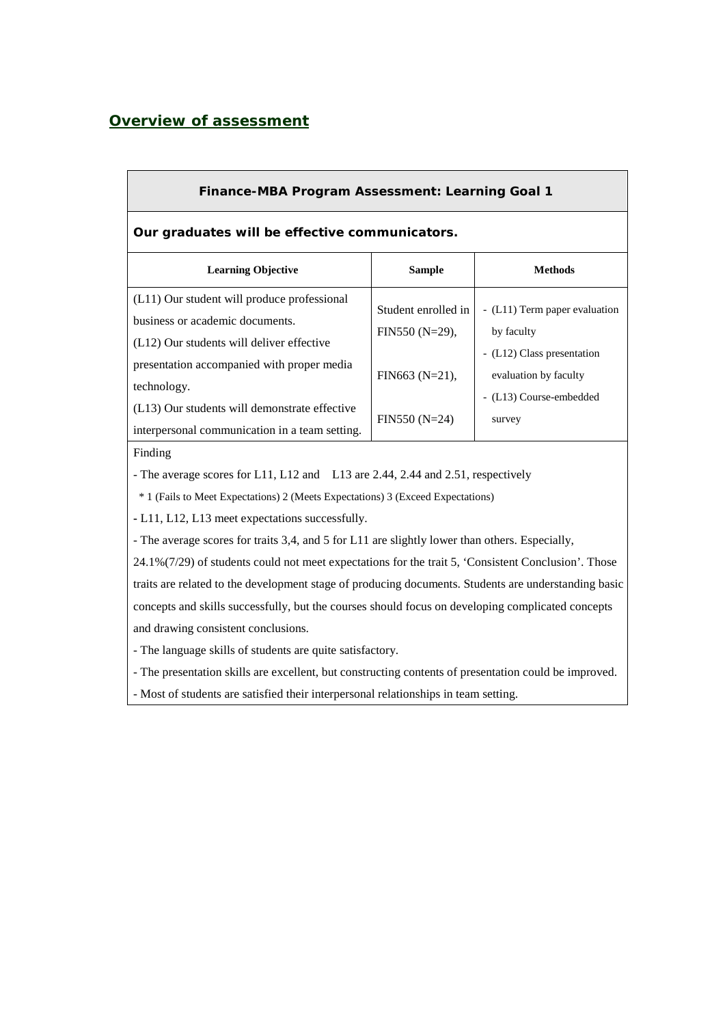## *Overview of assessment*

| <b>Finance-MBA Program Assessment: Learning Goal 1</b>                        |                                                                                                                                         |  |  |  |  |  |  |  |  |
|-------------------------------------------------------------------------------|-----------------------------------------------------------------------------------------------------------------------------------------|--|--|--|--|--|--|--|--|
| Our graduates will be effective communicators.                                |                                                                                                                                         |  |  |  |  |  |  |  |  |
| <b>Sample</b>                                                                 | <b>Methods</b>                                                                                                                          |  |  |  |  |  |  |  |  |
| Student enrolled in<br>$FIN550(N=29),$<br>FIN663 $(N=21)$ ,<br>$FIN550(N=24)$ | - (L11) Term paper evaluation<br>by faculty<br>- (L12) Class presentation<br>evaluation by faculty<br>- (L13) Course-embedded<br>survey |  |  |  |  |  |  |  |  |
|                                                                               |                                                                                                                                         |  |  |  |  |  |  |  |  |

- The average scores for L11, L12 and L13 are 2.44, 2.44 and 2.51, respectively

\* 1 (Fails to Meet Expectations) 2 (Meets Expectations) 3 (Exceed Expectations)

**-** L11, L12, L13 meet expectations successfully.

- The average scores for traits 3,4, and 5 for L11 are slightly lower than others. Especially,

24.1%(7/29) of students could not meet expectations for the trait 5, 'Consistent Conclusion'. Those traits are related to the development stage of producing documents. Students are understanding basic concepts and skills successfully, but the courses should focus on developing complicated concepts and drawing consistent conclusions.

- The language skills of students are quite satisfactory.

- The presentation skills are excellent, but constructing contents of presentation could be improved.

- Most of students are satisfied their interpersonal relationships in team setting.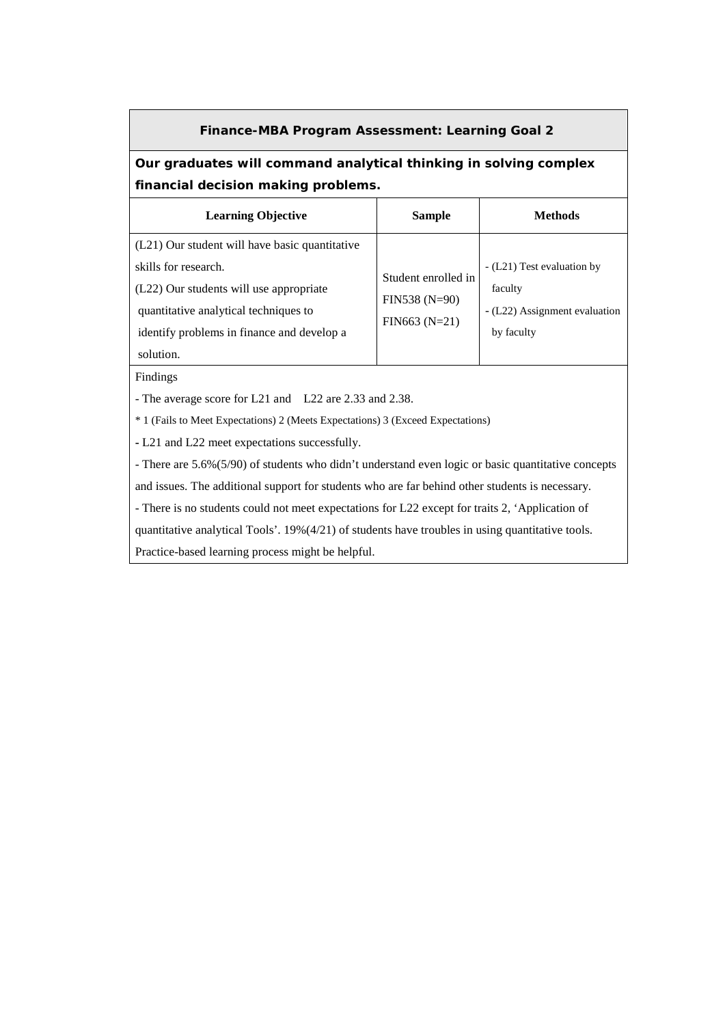#### **Finance-MBA Program Assessment: Learning Goal 2**

## **Our graduates will command analytical thinking in solving complex financial decision making problems.**

| <b>Learning Objective</b>                      | <b>Sample</b>                      | Methods                       |
|------------------------------------------------|------------------------------------|-------------------------------|
| (L21) Our student will have basic quantitative |                                    |                               |
| skills for research.                           | Student enrolled in                | - (L21) Test evaluation by    |
| (L22) Our students will use appropriate        | $FIN538 (N=90)$<br>$FIN663 (N=21)$ | faculty                       |
| quantitative analytical techniques to          |                                    | - (L22) Assignment evaluation |
| identify problems in finance and develop a     |                                    | by faculty                    |
| solution.                                      |                                    |                               |

Findings

- The average score for L21 and L22 are 2.33 and 2.38.

\* 1 (Fails to Meet Expectations) 2 (Meets Expectations) 3 (Exceed Expectations)

**-** L21 and L22 meet expectations successfully.

- There are 5.6%(5/90) of students who didn't understand even logic or basic quantitative concepts

and issues. The additional support for students who are far behind other students is necessary.

- There is no students could not meet expectations for L22 except for traits 2, 'Application of

quantitative analytical Tools'. 19%(4/21) of students have troubles in using quantitative tools.

Practice-based learning process might be helpful.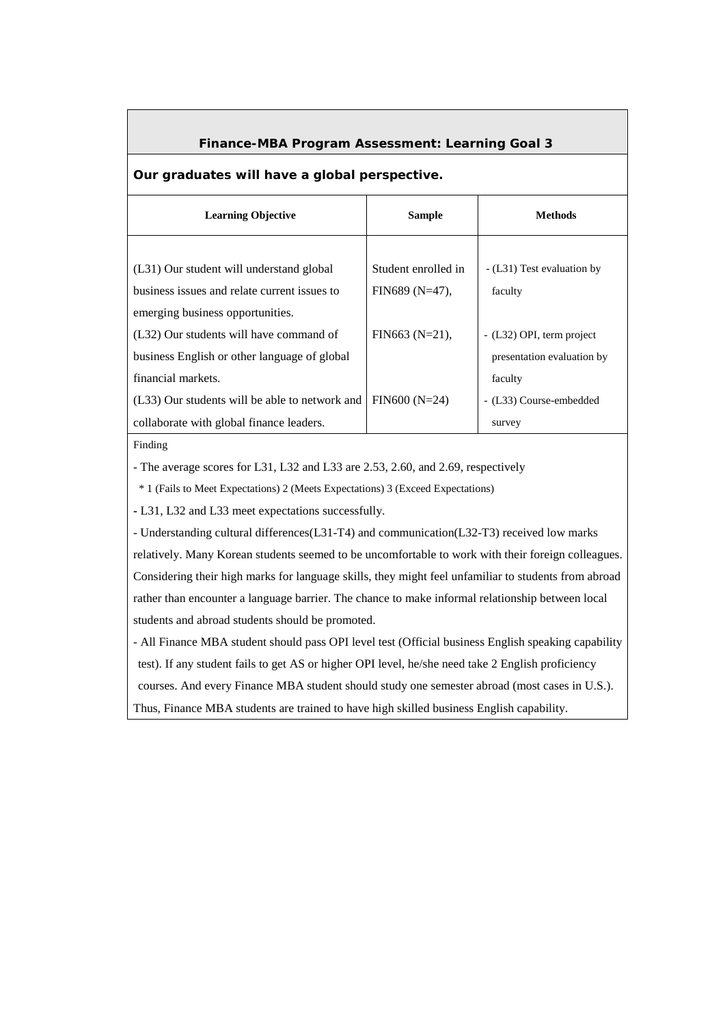### **Finance-MBA Program Assessment: Learning Goal 3**

#### **Our graduates will have a global perspective.**

| <b>Learning Objective</b>                                                                                        | <b>Sample</b>       | <b>Methods</b>                                          |
|------------------------------------------------------------------------------------------------------------------|---------------------|---------------------------------------------------------|
| (L31) Our student will understand global                                                                         | Student enrolled in | - (L31) Test evaluation by                              |
| business issues and relate current issues to<br>emerging business opportunities.                                 | $FIN689(N=47)$ ,    | faculty                                                 |
| (L32) Our students will have command of<br>business English or other language of global                          | $FIN663 (N=21)$ ,   | - (L32) OPI, term project<br>presentation evaluation by |
| financial markets.<br>(L33) Our students will be able to network and<br>collaborate with global finance leaders. | $FIN600(N=24)$      | faculty<br>- (L33) Course-embedded<br>survey            |

Finding

- The average scores for L31, L32 and L33 are 2.53, 2.60, and 2.69, respectively

\* 1 (Fails to Meet Expectations) 2 (Meets Expectations) 3 (Exceed Expectations)

**-** L31, L32 and L33 meet expectations successfully.

- Understanding cultural differences(L31-T4) and communication(L32-T3) received low marks relatively. Many Korean students seemed to be uncomfortable to work with their foreign colleagues. Considering their high marks for language skills, they might feel unfamiliar to students from abroad rather than encounter a language barrier. The chance to make informal relationship between local students and abroad students should be promoted.

- All Finance MBA student should pass OPI level test (Official business English speaking capability test). If any student fails to get AS or higher OPI level, he/she need take 2 English proficiency courses. And every Finance MBA student should study one semester abroad (most cases in U.S.). Thus, Finance MBA students are trained to have high skilled business English capability.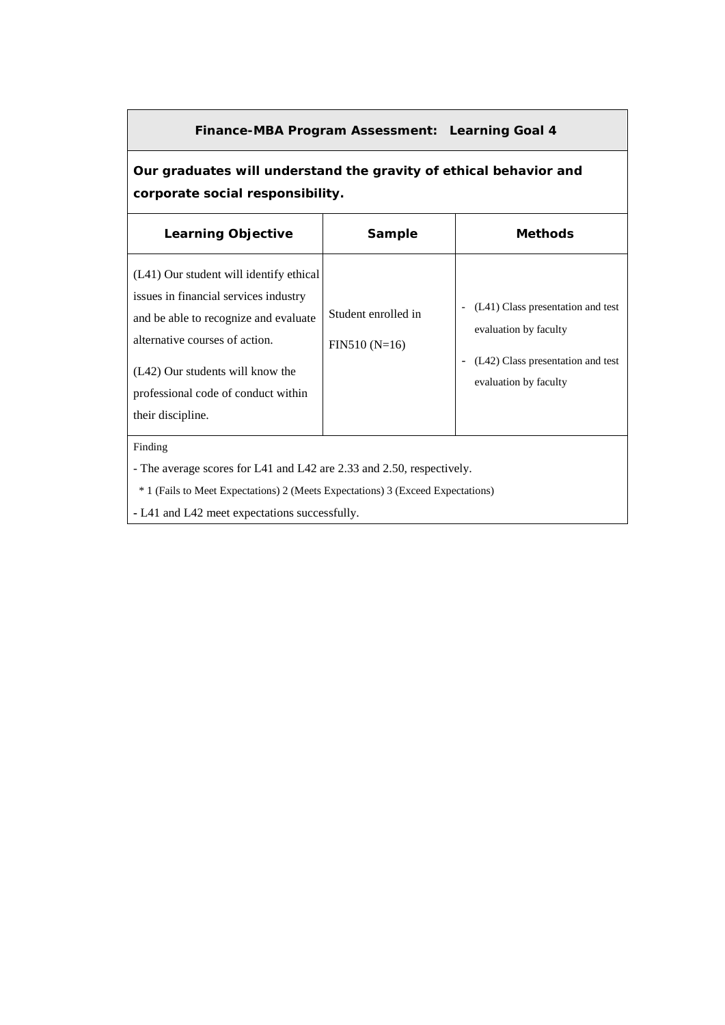### **Finance-MBA Program Assessment: Learning Goal 4**

# **Our graduates will understand the gravity of ethical behavior and corporate social responsibility.**

| <b>Learning Objective</b>                                                                                                                                                                                                                                   | Sample                                | <b>Methods</b>                                                                                                           |  |  |  |  |  |  |
|-------------------------------------------------------------------------------------------------------------------------------------------------------------------------------------------------------------------------------------------------------------|---------------------------------------|--------------------------------------------------------------------------------------------------------------------------|--|--|--|--|--|--|
| (L41) Our student will identify ethical<br>issues in financial services industry<br>and be able to recognize and evaluate<br>alternative courses of action.<br>(L42) Our students will know the<br>professional code of conduct within<br>their discipline. | Student enrolled in<br>$FIN510(N=16)$ | (L41) Class presentation and test<br>evaluation by faculty<br>(L42) Class presentation and test<br>evaluation by faculty |  |  |  |  |  |  |
| Finding                                                                                                                                                                                                                                                     |                                       |                                                                                                                          |  |  |  |  |  |  |
| - The average scores for L41 and L42 are 2.33 and 2.50, respectively.                                                                                                                                                                                       |                                       |                                                                                                                          |  |  |  |  |  |  |
| * 1 (Fails to Meet Expectations) 2 (Meets Expectations) 3 (Exceed Expectations)                                                                                                                                                                             |                                       |                                                                                                                          |  |  |  |  |  |  |

**-** L41 and L42 meet expectations successfully.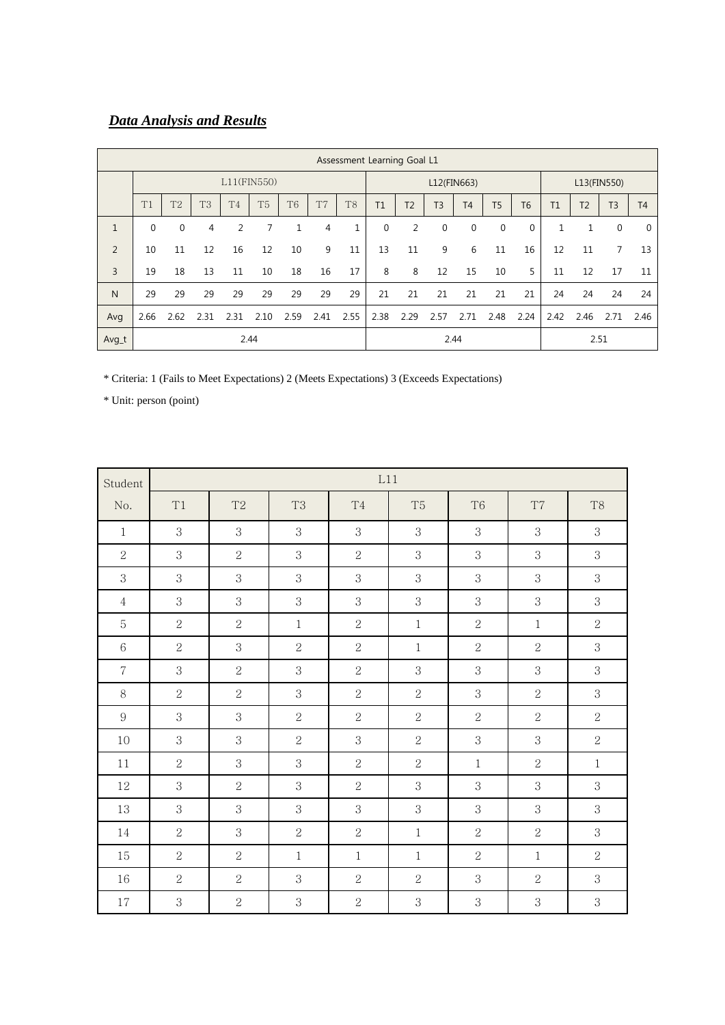# *Data Analysis and Results*

|                | Assessment Learning Goal L1 |                |                |                |                |                |                |                |             |                |                |                |             |                |              |                |                |                |
|----------------|-----------------------------|----------------|----------------|----------------|----------------|----------------|----------------|----------------|-------------|----------------|----------------|----------------|-------------|----------------|--------------|----------------|----------------|----------------|
|                | $L11$ (FIN550)              |                |                |                |                |                |                | L12(FIN663)    |             |                |                | L13(FIN550)    |             |                |              |                |                |                |
|                | T1                          | T <sub>2</sub> | T <sub>3</sub> | T <sub>4</sub> | T <sub>5</sub> | T <sub>6</sub> | T <sub>7</sub> | T <sub>8</sub> | T1          | T <sub>2</sub> | T <sub>3</sub> | T <sub>4</sub> | <b>T5</b>   | T <sub>6</sub> | T1           | T <sub>2</sub> | T <sub>3</sub> | T <sub>4</sub> |
| $\mathbf{1}$   | $\mathbf 0$                 | $\mathbf 0$    | 4              | 2              |                | 1              | 4              | $\mathbf{1}$   | $\mathbf 0$ | $\overline{2}$ | $\mathbf 0$    | 0              | $\mathbf 0$ | $\mathbf 0$    | $\mathbf{1}$ | 1              | $\mathbf 0$    | $\Omega$       |
| $\overline{2}$ | 10                          | 11             | 12             | 16             | 12             | 10             | 9              | 11             | 13          | 11             | 9              | 6              | 11          | 16             | 12           | 11             | 7              | 13             |
| $\overline{3}$ | 19                          | 18             | 13             | 11             | 10             | 18             | 16             | 17             | 8           | 8              | 12             | 15             | 10          | 5              | 11           | 12             | 17             | 11             |
| N              | 29                          | 29             | 29             | 29             | 29             | 29             | 29             | 29             | 21          | 21             | 21             | 21             | 21          | 21             | 24           | 24             | 24             | 24             |
| Avg            | 2.66                        | 2.62           | 2.31           | 2.31           | 2.10           | 2.59           | 2.41           | 2.55           | 2.38        | 2.29           | 2.57           | 2.71           | 2.48        | 2.24           | 2.42         | 2.46           | 2.71           | 2.46           |
| Avg_t          | 2.44                        |                |                |                |                |                |                |                |             |                |                | 2.44           |             |                |              | 2.51           |                |                |

\* Criteria: 1 (Fails to Meet Expectations) 2 (Meets Expectations) 3 (Exceeds Expectations)

| Student          |                | L11            |                |                |                |                |                |                |  |  |  |  |  |  |
|------------------|----------------|----------------|----------------|----------------|----------------|----------------|----------------|----------------|--|--|--|--|--|--|
| No.              | T1             | T <sub>2</sub> | T <sub>3</sub> | T <sub>4</sub> | T <sub>5</sub> | T <sub>6</sub> | T7             | T <sub>8</sub> |  |  |  |  |  |  |
| $\mathbf{1}$     | 3              | 3              | 3              | 3              | 3              | 3              | 3              | 3              |  |  |  |  |  |  |
| $\sqrt{2}$       | 3              | $\overline{2}$ | 3              | $\overline{2}$ | 3              | $\sqrt{3}$     | 3              | 3              |  |  |  |  |  |  |
| $\mathbf{3}$     | 3              | 3              | $\,3$          | 3              | 3              | $\,3$          | $\,3$          | 3              |  |  |  |  |  |  |
| $\overline{4}$   | 3              | 3              | 3              | 3              | 3              | 3              | 3              | 3              |  |  |  |  |  |  |
| 5                | $\overline{2}$ | $\overline{2}$ | $\mathbf{1}$   | $\overline{2}$ | $\mathbf{1}$   | $\overline{2}$ | $\mathbf{1}$   | $\overline{2}$ |  |  |  |  |  |  |
| $6\,$            | $\overline{2}$ | 3              | $\overline{2}$ | $\overline{2}$ | $\mathbf{1}$   | $\overline{2}$ | $\overline{2}$ | 3              |  |  |  |  |  |  |
| $\overline{7}$   | 3              | $\overline{2}$ | 3              | $\overline{2}$ | 3              | 3              | 3              | 3              |  |  |  |  |  |  |
| 8                | $\overline{2}$ | $\overline{2}$ | 3              | $\overline{2}$ | $\overline{2}$ | 3              | $\overline{2}$ | 3              |  |  |  |  |  |  |
| $\boldsymbol{9}$ | 3              | 3              | $\overline{2}$ | $\overline{2}$ | $\overline{2}$ | $\sqrt{2}$     | $\overline{2}$ | $\overline{2}$ |  |  |  |  |  |  |
| 10               | 3              | 3              | $\overline{2}$ | 3              | $\overline{2}$ | 3              | 3              | $\overline{2}$ |  |  |  |  |  |  |
| 11               | $\overline{2}$ | 3              | 3              | $\overline{2}$ | $\overline{2}$ | $\mathbf{1}$   | $\overline{2}$ | $\mathbf{1}$   |  |  |  |  |  |  |
| 12               | 3              | $\overline{2}$ | $\sqrt{3}$     | $\overline{2}$ | 3              | 3              | 3              | 3              |  |  |  |  |  |  |
| $13\,$           | 3              | 3              | 3              | 3              | 3              | 3              | 3              | 3              |  |  |  |  |  |  |
| 14               | $\overline{2}$ | 3              | $\overline{2}$ | $\overline{2}$ | $\mathbf{1}$   | $\sqrt{2}$     | $\overline{2}$ | 3              |  |  |  |  |  |  |
| 15               | $\overline{2}$ | $\overline{2}$ | $\mathbf{1}$   | $\mathbf{1}$   | $\mathbf{1}$   | $\sqrt{2}$     | $\mathbf{1}$   | $\overline{2}$ |  |  |  |  |  |  |
| 16               | $\overline{2}$ | $\overline{2}$ | 3              | $\overline{2}$ | $\overline{2}$ | 3              | $\overline{2}$ | 3              |  |  |  |  |  |  |
| 17               | 3              | $\overline{2}$ | 3              | $\overline{2}$ | 3              | 3              | $\sqrt{3}$     | 3              |  |  |  |  |  |  |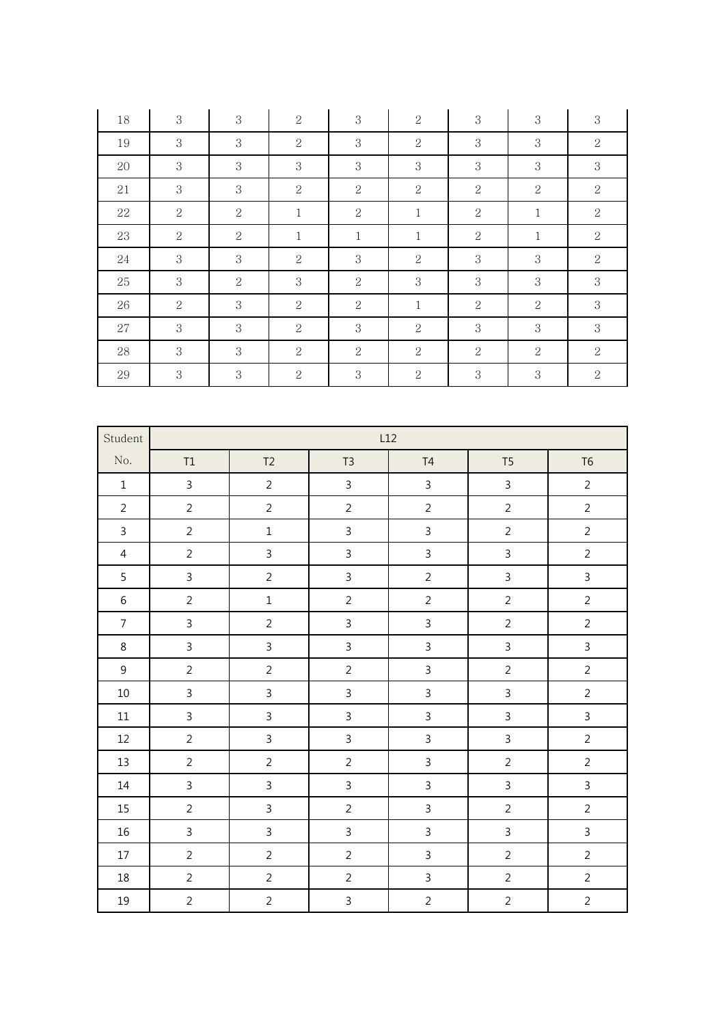| $18\,$           | $\,3$          | $\,3$          | $\sqrt{2}$     |  | $\,3$                            | $\sqrt{2}$     |  | $\sqrt{3}$     | $\,3$          |              | $\,3$          |  |
|------------------|----------------|----------------|----------------|--|----------------------------------|----------------|--|----------------|----------------|--------------|----------------|--|
| $19\,$           | $\mathbf{3}$   | $\mathbf{3}$   | $\sqrt{2}$     |  | $\mathbf{3}$                     | $\sqrt{2}$     |  | $\mathbf{3}$   | $\,3$          |              | $\sqrt{2}$     |  |
| $20\,$           | $\mathbf{3}$   | $\mathbf{3}$   | $\mathbf{3}$   |  | $\mathbf{3}$                     | $\mathbf{3}$   |  | $\,3$          | $\sqrt{3}$     |              | 3              |  |
| $21\,$           | 3              | 3              | $\sqrt{2}$     |  | $\sqrt{2}$                       | $\sqrt{2}$     |  | $\sqrt{2}$     | $\sqrt{2}$     |              | $\sqrt{2}$     |  |
| $22\,$           | $\sqrt{2}$     | $\sqrt{2}$     | $\,1$          |  | $\sqrt{2}$                       | $\,1$          |  | $\sqrt{2}$     | $\,1$          |              | $\sqrt{2}$     |  |
| $23\,$           | $\sqrt{2}$     | $\overline{2}$ | $\,1$          |  | $\,1$                            | $\,1$          |  | $\sqrt{2}$     | $\,1\,$        |              | $\sqrt{2}$     |  |
| $24\,$           | $\mathbf{3}$   | 3              | $\sqrt{2}$     |  | $\mathbf{3}$                     | $\sqrt{2}$     |  | $\mathbf 3$    | $\,3$          |              | $\sqrt{2}$     |  |
| $25\,$           | $\mathbf{3}$   | $\sqrt{2}$     | $\mathbf{3}$   |  | $\sqrt{2}$                       | $\mathbf{3}$   |  | $\mathbf{3}$   | $\,3$          |              | $\mathbf{3}$   |  |
| $26\,$           | $\sqrt{2}$     | $\mathbf{3}$   | $\sqrt{2}$     |  | $\sqrt{2}$                       | $\mathbf{1}$   |  | $\,2$          | $\sqrt{2}$     |              | $\mathbf{3}$   |  |
| $27\,$           | 3              | 3              | $\sqrt{2}$     |  | $\mathbf 3$                      | $\sqrt{2}$     |  | $\,3$          | $\,3$          |              | 3              |  |
| $28\,$           | $\mathbf{3}$   | 3              | $\sqrt{2}$     |  | $\sqrt{2}$                       | $\sqrt{2}$     |  | $\,2$          | $\sqrt{2}$     |              | $\sqrt{2}$     |  |
| $29\,$           | $\sqrt{3}$     | $\mathbf{3}$   | $\sqrt{2}$     |  | $\sqrt{3}$                       | $\sqrt{2}$     |  | $\,3$          | $\sqrt{3}$     |              | $\sqrt{2}$     |  |
|                  |                |                |                |  |                                  |                |  |                |                |              |                |  |
| Student          |                |                |                |  |                                  | L12            |  |                |                |              |                |  |
| No.              | $\mathsf{T1}$  |                | T2             |  | $T3$<br>T4                       |                |  | T <sub>5</sub> |                |              | ${\sf T6}$     |  |
| $\,1\,$          | $\mathsf{3}$   |                | $\overline{2}$ |  | $\mathsf{3}$                     | $\mathsf{3}$   |  | $\mathsf{3}$   |                |              | $\overline{2}$ |  |
| $\overline{2}$   | $\overline{2}$ |                | $\overline{2}$ |  | $\overline{2}$<br>$\overline{2}$ |                |  |                | $\overline{2}$ |              | $\overline{2}$ |  |
| $\mathsf{3}$     | $\overline{2}$ |                | $\mathbf 1$    |  | $\mathsf{3}$                     | $\mathbf{3}$   |  |                | $\overline{2}$ |              | $\overline{2}$ |  |
| $\overline{4}$   | $\overline{2}$ |                | $\mathsf{3}$   |  | $\mathbf{3}$                     | $\mathbf{3}$   |  |                | $\mathsf{3}$   |              | $\overline{2}$ |  |
| 5                | $\overline{3}$ |                | $\overline{2}$ |  | $\mathsf{3}$                     | $\overline{2}$ |  | $\mathsf{3}$   |                | $\mathbf{3}$ |                |  |
| $\,$ 6 $\,$      | $\overline{2}$ |                | $\mathbf 1$    |  | $\overline{2}$                   | $\overline{c}$ |  | $\overline{2}$ |                |              | $\overline{2}$ |  |
| $\overline{7}$   | $\mathsf{3}$   |                | $\overline{2}$ |  | $\mathbf{3}$                     | $\mathbf{3}$   |  |                | $\overline{2}$ |              | $\overline{2}$ |  |
| $\,8\,$          | $\overline{3}$ |                | $\overline{3}$ |  | $\overline{3}$                   | $\mathfrak{Z}$ |  |                | $\overline{3}$ |              | $\overline{3}$ |  |
| $\boldsymbol{9}$ | $\overline{2}$ |                | $\overline{2}$ |  | $\overline{c}$                   | $\mathsf 3$    |  |                | $\overline{2}$ |              | $\overline{2}$ |  |
| 10               | $\overline{3}$ |                | $\mathbf{3}$   |  | $\mathsf 3$                      | $\mathbf{3}$   |  |                | $\mathsf{3}$   |              | $\overline{2}$ |  |
| $11\,$           | $\overline{3}$ |                | $\overline{3}$ |  | $\mathbf{3}$                     | $\mathsf{3}$   |  |                | $\overline{3}$ |              | $\overline{3}$ |  |
| $12\,$           | $\overline{2}$ |                | $\overline{3}$ |  | $\mathsf{3}$                     | $\mathfrak{Z}$ |  |                | $\mathbf{3}$   |              | $\overline{2}$ |  |
| 13               | $\overline{2}$ |                | $\overline{2}$ |  | $\overline{2}$                   | $\mathsf{3}$   |  |                | $\overline{2}$ |              | $\overline{2}$ |  |
| $14\,$           | $\overline{3}$ |                | $\overline{3}$ |  | $\mathsf{3}$                     | $\mathsf{3}$   |  |                | $\overline{3}$ |              | $\overline{3}$ |  |
| $15\,$           | $\overline{2}$ |                | $\mathfrak{Z}$ |  | $\overline{2}$                   | $\mathbf{3}$   |  |                | $\overline{2}$ |              | $\overline{2}$ |  |
| $16\,$           | $\overline{3}$ |                | $\mathbf{3}$   |  | $\mathsf{3}$                     | $\mathbf{3}$   |  |                | $\overline{3}$ |              | $\mathsf 3$    |  |
| $17\,$           | $\overline{2}$ |                | $\overline{2}$ |  | $\overline{2}$                   | $\mathsf{3}$   |  |                | $\overline{2}$ |              | $\sqrt{2}$     |  |
| $18\,$           | $\overline{2}$ |                | $\overline{2}$ |  | $\overline{2}$                   | $\mathfrak{Z}$ |  |                | $\overline{2}$ |              | $\overline{2}$ |  |
| 19               | $\overline{2}$ |                | $\overline{2}$ |  | $\mathbf{3}$                     | $\overline{2}$ |  |                | $\overline{2}$ |              | $\overline{2}$ |  |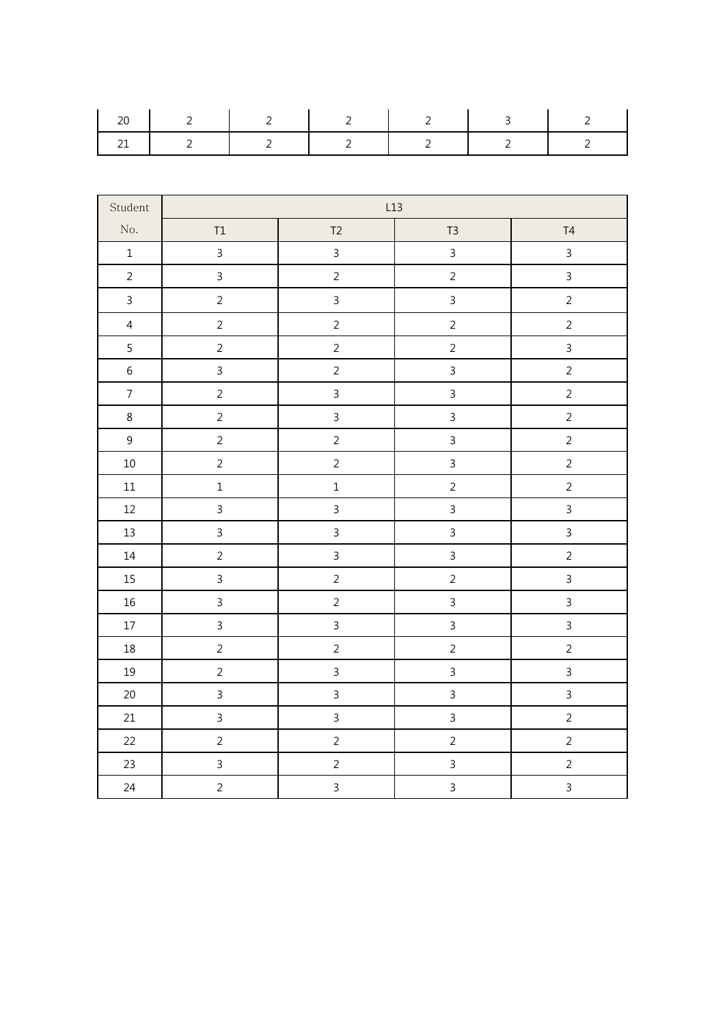| $\overline{2}$ $\overline{1}$       | $\overline{2}$ | $\overline{2}$ |                                                   | - 30 |  |
|-------------------------------------|----------------|----------------|---------------------------------------------------|------|--|
| $1 \quad 2 \quad 1 \quad 2 \quad 1$ |                |                | $\begin{array}{ccccccc}\n2 & 1 & 2 & \end{array}$ |      |  |

| Student        | L13            |                |                |                |  |  |  |  |  |
|----------------|----------------|----------------|----------------|----------------|--|--|--|--|--|
| $\rm No.$      | $\mathsf{T1}$  | T <sub>2</sub> | T <sub>3</sub> | T4             |  |  |  |  |  |
| $\mathbf 1$    | $\overline{3}$ | $\overline{3}$ | $\overline{3}$ | $\mathbf{3}$   |  |  |  |  |  |
| $\overline{2}$ | $\overline{3}$ | $\sqrt{2}$     | $\overline{c}$ | $\overline{3}$ |  |  |  |  |  |
| $\mathfrak{Z}$ | $\overline{2}$ | $\mathsf{3}$   | $\overline{3}$ | $\overline{2}$ |  |  |  |  |  |
| $\overline{4}$ | $\overline{2}$ | $\overline{2}$ | $\overline{2}$ | $\overline{2}$ |  |  |  |  |  |
| 5              | $\overline{c}$ | $\overline{c}$ | $\overline{c}$ | $\mathsf{3}$   |  |  |  |  |  |
| $\,$ 6 $\,$    | $\overline{3}$ | $\sqrt{2}$     | $\overline{3}$ | $\overline{c}$ |  |  |  |  |  |
| $\overline{7}$ | $\overline{a}$ | $\mathbf{3}$   | $\overline{3}$ | $\overline{c}$ |  |  |  |  |  |
| $\,8\,$        | $\overline{c}$ | $\overline{3}$ | $\overline{3}$ | $\sqrt{2}$     |  |  |  |  |  |
| $\overline{9}$ | $\overline{2}$ | $\overline{2}$ | $\overline{3}$ | $\overline{2}$ |  |  |  |  |  |
| $10\,$         | $\overline{2}$ | $\overline{c}$ | $\overline{3}$ | $\overline{2}$ |  |  |  |  |  |
| $11\,$         | $\mathbf{1}$   | $\mathbf 1$    | $\overline{2}$ | $\overline{2}$ |  |  |  |  |  |
| $12\,$         | $\overline{3}$ | $\overline{3}$ | $\overline{3}$ | $\overline{3}$ |  |  |  |  |  |
| 13             | $\overline{3}$ | $\overline{3}$ | $\overline{3}$ | $\overline{3}$ |  |  |  |  |  |
| $14\,$         | $\overline{2}$ | $\overline{3}$ | $\overline{3}$ | $\overline{2}$ |  |  |  |  |  |
| 15             | $\overline{3}$ | $\overline{2}$ | $\overline{2}$ | $\overline{3}$ |  |  |  |  |  |
| $16\,$         | $\overline{3}$ | $\overline{2}$ | $\overline{3}$ | $\overline{3}$ |  |  |  |  |  |
| $17\,$         | $\overline{3}$ | $\overline{3}$ | $\overline{3}$ | $\overline{3}$ |  |  |  |  |  |
| $18\,$         | $\overline{2}$ | $\sqrt{2}$     | $\overline{2}$ | $\overline{2}$ |  |  |  |  |  |
| $19\,$         | $\overline{2}$ | $\overline{3}$ | $\overline{3}$ | $\overline{3}$ |  |  |  |  |  |
| $20\,$         | $\overline{3}$ | $\mathfrak{Z}$ | $\overline{3}$ | $\overline{3}$ |  |  |  |  |  |
| 21             | $\mathsf{3}$   | $\mathsf{3}$   | $\overline{3}$ | $\overline{2}$ |  |  |  |  |  |
| 22             | $\overline{2}$ | $\overline{2}$ | $\overline{c}$ | $\overline{c}$ |  |  |  |  |  |
| 23             | $\overline{3}$ | $\overline{2}$ | $\overline{3}$ | $\overline{2}$ |  |  |  |  |  |
| 24             | $\overline{2}$ | $\overline{3}$ | $\overline{3}$ | $\overline{3}$ |  |  |  |  |  |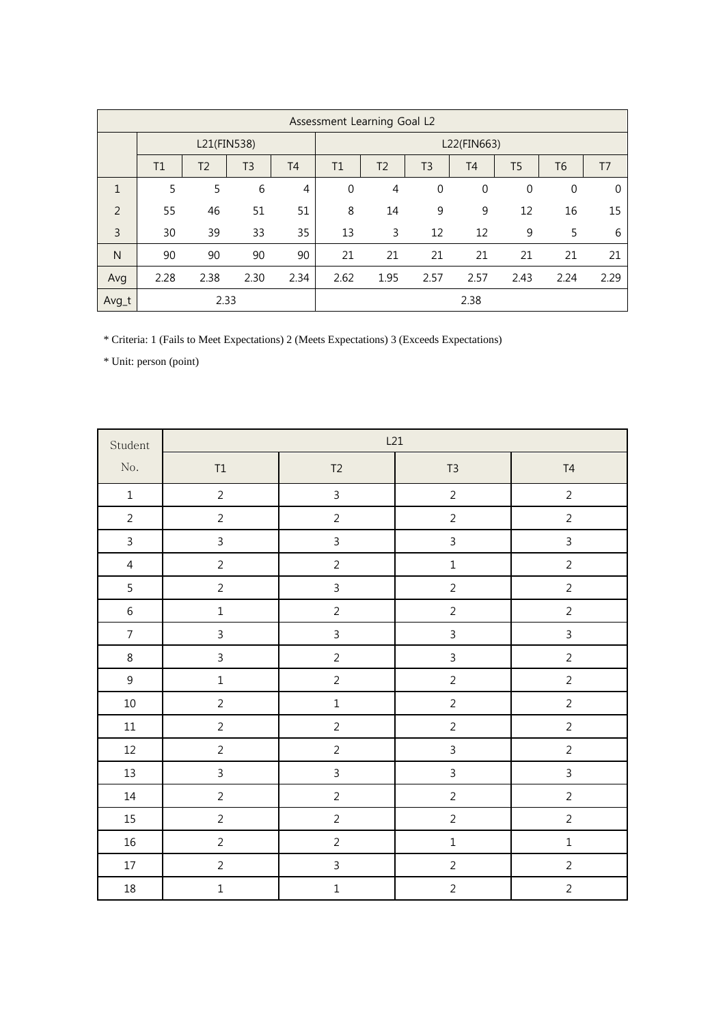|                | Assessment Learning Goal L2 |                |      |                |             |                |                |                |                |                |      |
|----------------|-----------------------------|----------------|------|----------------|-------------|----------------|----------------|----------------|----------------|----------------|------|
|                | L21(FIN538)                 |                |      |                |             | L22(FIN663)    |                |                |                |                |      |
|                | T1                          | T <sub>2</sub> | T3   | T <sub>4</sub> | T1          | T <sub>2</sub> | T <sub>3</sub> | T <sub>4</sub> | T <sub>5</sub> | T <sub>6</sub> | T7   |
| $\mathbf{1}$   | 5                           | 5              | 6    | 4              | $\mathbf 0$ | $\overline{4}$ | $\mathbf 0$    | $\mathbf{0}$   | $\Omega$       | $\mathbf 0$    | 0    |
| 2              | 55                          | 46             | 51   | 51             | 8           | 14             | 9              | 9              | 12             | 16             | 15   |
| $\overline{3}$ | 30                          | 39             | 33   | 35             | 13          | 3              | 12             | 12             | 9              | 5              | 6    |
| N              | 90                          | 90             | 90   | 90             | 21          | 21             | 21             | 21             | 21             | 21             | 21   |
| Avg            | 2.28                        | 2.38           | 2.30 | 2.34           | 2.62        | 1.95           | 2.57           | 2.57           | 2.43           | 2.24           | 2.29 |
| Avg_t          |                             | 2.33           |      |                | 2.38        |                |                |                |                |                |      |

\* Criteria: 1 (Fails to Meet Expectations) 2 (Meets Expectations) 3 (Exceeds Expectations)

| Student        | L21            |                |                |                |  |  |  |  |  |
|----------------|----------------|----------------|----------------|----------------|--|--|--|--|--|
| $\rm No.$      | $\mathsf{T1}$  | $\mathsf{T2}$  | T <sub>3</sub> | $\mathsf{T}4$  |  |  |  |  |  |
| $\mathbf 1$    | $\overline{2}$ | $\mathsf{3}$   | $\overline{2}$ | $\overline{2}$ |  |  |  |  |  |
| $\overline{2}$ | $\overline{2}$ | $\overline{2}$ | $\overline{c}$ | $\overline{2}$ |  |  |  |  |  |
| $\mathsf{3}$   | $\overline{3}$ | $\mathsf{3}$   | $\overline{3}$ | $\mathsf{3}$   |  |  |  |  |  |
| $\overline{4}$ | $\overline{2}$ | $\overline{2}$ | $\mathbf{1}$   | $\overline{2}$ |  |  |  |  |  |
| 5              | $\overline{2}$ | $\mathsf{3}$   | $\overline{c}$ | $\overline{2}$ |  |  |  |  |  |
| $\sqrt{6}$     | $\mathbf 1$    | $\overline{2}$ | $\overline{2}$ | $\overline{2}$ |  |  |  |  |  |
| $\overline{7}$ | $\mathsf{3}$   | $\overline{3}$ | $\overline{3}$ | $\overline{3}$ |  |  |  |  |  |
| $\,8\,$        | $\overline{3}$ | $\overline{2}$ | $\overline{3}$ | $\overline{2}$ |  |  |  |  |  |
| $\mathsf 9$    | $\mathbf 1$    | $\overline{2}$ | $\overline{c}$ | $\overline{2}$ |  |  |  |  |  |
| $10\,$         | $\overline{2}$ | $\mathbf 1$    | $\overline{c}$ | $\mathsf{2}\,$ |  |  |  |  |  |
| $11\,$         | $\overline{2}$ | $\overline{c}$ | $\overline{c}$ | $\overline{2}$ |  |  |  |  |  |
| $12\,$         | $\overline{2}$ | $\sqrt{2}$     | $\overline{3}$ | $\overline{2}$ |  |  |  |  |  |
| $13\,$         | $\overline{3}$ | $\overline{3}$ | $\mathfrak{Z}$ | $\overline{3}$ |  |  |  |  |  |
| $14\,$         | $\overline{2}$ | $\sqrt{2}$     | $\overline{c}$ | $\overline{2}$ |  |  |  |  |  |
| 15             | $\overline{2}$ | $\overline{2}$ | $\overline{c}$ | $\overline{2}$ |  |  |  |  |  |
| $16\,$         | $\overline{2}$ | $\overline{2}$ | $\mathbf 1$    | $\mathbf 1$    |  |  |  |  |  |
| $17\,$         | $\overline{2}$ | $\mathsf{3}$   | $\overline{c}$ | $\overline{2}$ |  |  |  |  |  |
| $18\,$         | $\mathbf 1$    | $\mathbf 1$    | $\overline{2}$ | $\overline{2}$ |  |  |  |  |  |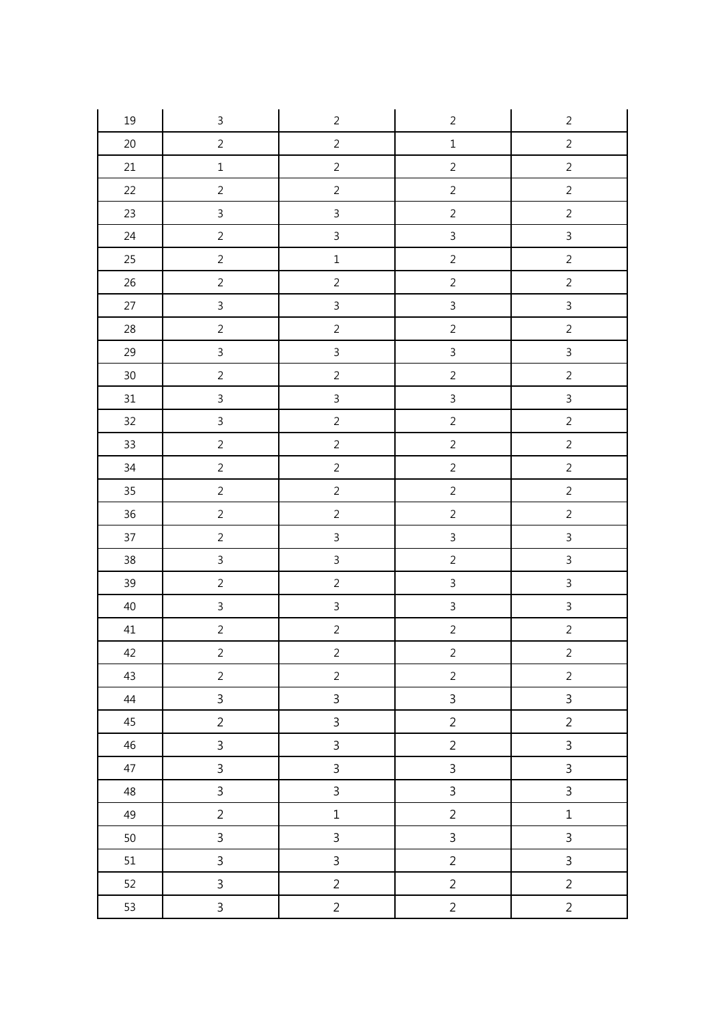| $19\,$ | $\mathsf 3$    | $\overline{2}$ | $\overline{c}$ | $\sqrt{2}$     |
|--------|----------------|----------------|----------------|----------------|
| $20\,$ | $\overline{2}$ | $\overline{c}$ | $\mathbf{1}$   | $\overline{c}$ |
| $21\,$ | $\mathbf 1$    | $\sqrt{2}$     | $\overline{2}$ | $\overline{2}$ |
| 22     | $\overline{2}$ | $\overline{2}$ | $\overline{c}$ | $\overline{2}$ |
| 23     | $\mathbf{3}$   | $\mathbf{3}$   | $\overline{2}$ | $\overline{2}$ |
| 24     | $\overline{2}$ | $\overline{3}$ | $\overline{3}$ | $\overline{3}$ |
| 25     | $\sqrt{2}$     | $\mathbf 1$    | $\overline{c}$ | $\overline{2}$ |
| $26\,$ | $\overline{2}$ | $\overline{c}$ | $\overline{c}$ | $\overline{c}$ |
| 27     | $\mathfrak{Z}$ | $\mathbf{3}$   | $\overline{3}$ | $\overline{3}$ |
| 28     | $\overline{2}$ | $\overline{2}$ | $\overline{2}$ | $\overline{2}$ |
| 29     | $\mathfrak{Z}$ | $\overline{3}$ | $\overline{3}$ | $\overline{3}$ |
| $30\,$ | $\overline{2}$ | $\overline{2}$ | $\overline{2}$ | $\overline{2}$ |
| 31     | $\overline{3}$ | $\overline{3}$ | $\overline{3}$ | $\overline{3}$ |
| 32     | $\overline{3}$ | $\overline{c}$ | $\overline{c}$ | $\overline{c}$ |
| 33     | $\overline{2}$ | $\sqrt{2}$     | $\overline{c}$ | $\overline{2}$ |
| $34\,$ | $\overline{2}$ | $\overline{2}$ | $\overline{c}$ | $\overline{2}$ |
| 35     | $\overline{2}$ | $\overline{2}$ | $\sqrt{2}$     | $\overline{2}$ |
| $36\,$ | $\overline{2}$ | $\overline{2}$ | $\overline{2}$ | $\sqrt{2}$     |
| 37     | $\sqrt{2}$     | $\overline{3}$ | $\overline{3}$ | $\overline{3}$ |
| 38     | $\mathsf{3}$   | $\mathbf{3}$   | $\overline{2}$ | $\overline{3}$ |
| 39     | $\overline{2}$ | $\overline{2}$ | $\overline{3}$ | $\overline{3}$ |
| $40\,$ | $\overline{3}$ | $\mathbf{3}$   | $\overline{3}$ | $\overline{3}$ |
| $41\,$ | $\overline{2}$ | $\overline{c}$ | $\overline{c}$ | $\overline{c}$ |
| 42     | $\overline{c}$ | $\overline{a}$ | $\overline{2}$ | $\overline{a}$ |
| 43     | $\overline{2}$ | $\overline{2}$ | $\overline{2}$ | $\overline{2}$ |
| 44     | $\mathsf{3}$   | $\overline{3}$ | $\overline{3}$ | $\mathsf{3}$   |
| 45     | $\overline{2}$ | $\mathsf{3}$   | $\overline{2}$ | $\overline{2}$ |
| 46     | $\overline{3}$ | $\mathsf{3}$   | $\overline{2}$ | $\overline{3}$ |
| 47     | $\overline{3}$ | $\overline{3}$ | $\overline{3}$ | $\mathsf{3}$   |
| 48     | $\mathbf{3}$   | $\mathbf{3}$   | $\mathbf{3}$   | $\mathsf{3}$   |
| 49     | $\overline{2}$ | $\mathbf 1$    | $\overline{2}$ | $\mathbf 1$    |
| $50\,$ | $\mathsf{3}$   | $\mathsf{3}$   | $\overline{3}$ | $\overline{3}$ |
| 51     | $\mathbf{3}$   | $\mathbf{3}$   | $\overline{2}$ | $\mathsf{3}$   |
| 52     | $\mathsf{3}$   | $\overline{2}$ | $\overline{c}$ | $\overline{c}$ |
| 53     | $\mathsf{3}$   | $\overline{a}$ | $\overline{c}$ | $\overline{c}$ |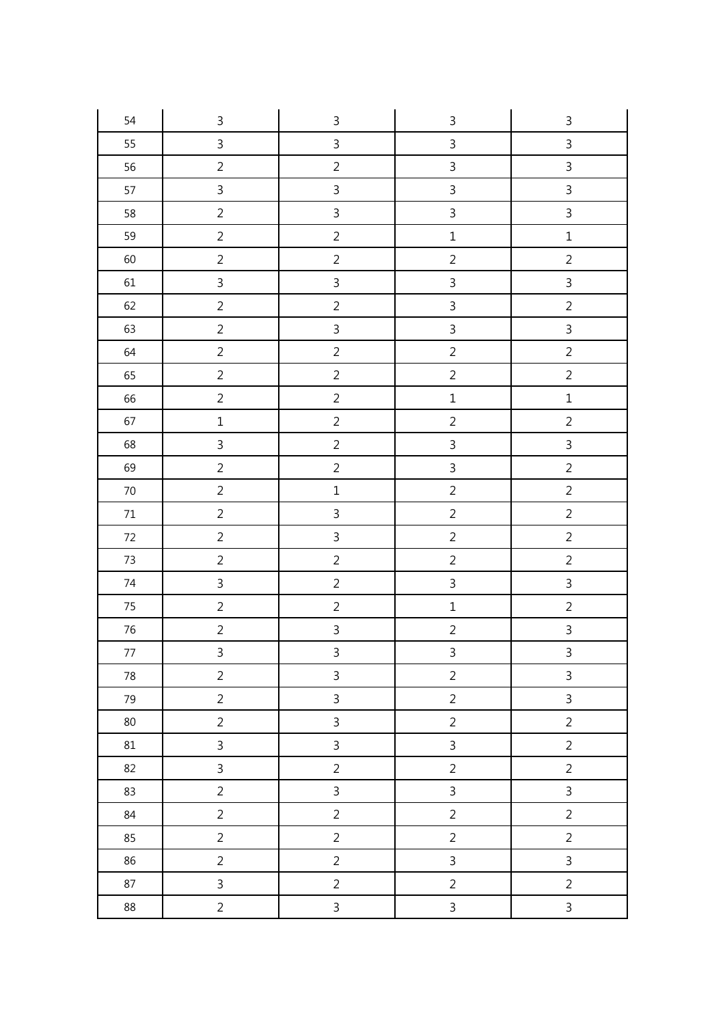| 54     | $\mathsf 3$    | $\mathsf{3}$   | $\mathsf{3}$   | $\ensuremath{\mathsf{3}}$ |
|--------|----------------|----------------|----------------|---------------------------|
| 55     | $\overline{3}$ | $\mathsf{3}$   | $\overline{3}$ | $\overline{3}$            |
| 56     | $\overline{2}$ | $\sqrt{2}$     | $\overline{3}$ | $\overline{3}$            |
| 57     | $\mathfrak{Z}$ | $\mathsf{3}$   | $\overline{3}$ | $\overline{3}$            |
| 58     | $\overline{2}$ | $\mathbf{3}$   | $\overline{3}$ | $\overline{3}$            |
| 59     | $\overline{2}$ | $\sqrt{2}$     | $\mathbf 1$    | $\mathbf 1$               |
| 60     | $\overline{c}$ | $\overline{c}$ | $\overline{c}$ | $\overline{c}$            |
| $61\,$ | $\mathfrak{Z}$ | $\overline{3}$ | $\overline{3}$ | $\overline{3}$            |
| 62     | $\overline{2}$ | $\sqrt{2}$     | $\overline{3}$ | $\overline{c}$            |
| 63     | $\overline{2}$ | $\mathsf{3}$   | $\overline{3}$ | $\overline{3}$            |
| 64     | $\overline{2}$ | $\overline{c}$ | $\overline{c}$ | $\overline{2}$            |
| 65     | $\overline{2}$ | $\overline{2}$ | $\overline{2}$ | $\overline{2}$            |
| 66     | $\overline{2}$ | $\overline{2}$ | $\mathbf{1}$   | $\mathbf 1$               |
| 67     | $\mathbf 1$    | $\overline{c}$ | $\overline{c}$ | $\overline{c}$            |
| 68     | $\overline{3}$ | $\overline{2}$ | $\overline{3}$ | $\overline{3}$            |
| 69     | $\sqrt{2}$     | $\overline{2}$ | $\overline{3}$ | $\overline{2}$            |
| $70\,$ | $\overline{2}$ | $\mathbf 1$    | $\overline{c}$ | $\overline{2}$            |
| $71\,$ | $\overline{2}$ | $\overline{3}$ | $\overline{c}$ | $\overline{2}$            |
| $72\,$ | $\overline{c}$ | $\overline{3}$ | $\overline{c}$ | $\overline{c}$            |
| $73\,$ | $\overline{c}$ | $\overline{2}$ | $\overline{c}$ | $\overline{c}$            |
| $74\,$ | $\mathfrak{Z}$ | $\sqrt{2}$     | $\overline{3}$ | $\overline{3}$            |
| 75     | $\overline{2}$ | $\overline{2}$ | $\mathbf 1$    | $\overline{2}$            |
| $76\,$ | $\overline{2}$ | $\overline{3}$ | $\overline{c}$ | $\overline{3}$            |
| 77     | $\overline{3}$ | $\overline{3}$ | $\overline{3}$ | $\overline{3}$            |
| 78     | $\overline{2}$ | $\overline{3}$ | $\overline{a}$ | $\overline{3}$            |
| 79     | $\overline{2}$ | $\overline{3}$ | $\overline{c}$ | $\overline{3}$            |
| 80     | $\overline{2}$ | $\mathbf{3}$   | $\overline{2}$ | $\sqrt{2}$                |
| 81     | $\overline{3}$ | $\mathsf{3}$   | $\overline{3}$ | $\overline{2}$            |
| 82     | $\overline{3}$ | $\overline{2}$ | $\overline{c}$ | $\overline{2}$            |
| 83     | $\overline{2}$ | $\overline{3}$ | $\overline{3}$ | $\overline{3}$            |
| 84     | $\overline{2}$ | $\overline{2}$ | $\overline{c}$ | $\overline{a}$            |
| 85     | $\overline{2}$ | $\overline{2}$ | $\overline{c}$ | $\overline{c}$            |
| 86     | $\overline{2}$ | $\overline{2}$ | $\overline{3}$ | $\overline{3}$            |
| 87     | $\mathbf{3}$   | $\overline{2}$ | $\overline{c}$ | $\sqrt{2}$                |
| 88     | $\overline{2}$ | $\mathbf{3}$   | $\overline{3}$ | $\overline{3}$            |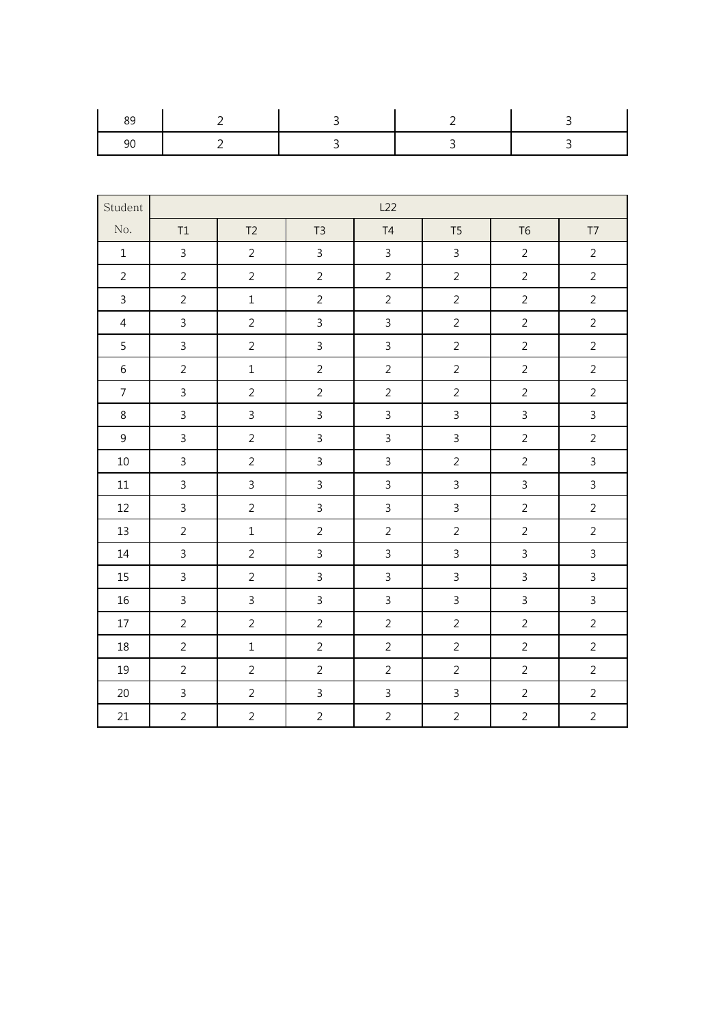| Student        |                |                |                | L22            |                |                |                         |
|----------------|----------------|----------------|----------------|----------------|----------------|----------------|-------------------------|
| No.            | T1             | T <sub>2</sub> | T <sub>3</sub> | T4             | T <sub>5</sub> | T <sub>6</sub> | $\mathsf{T} \mathsf{T}$ |
| $1\,$          | $\mathsf{3}$   | $\overline{2}$ | $\mathsf{3}$   | $\overline{3}$ | $\mathbf{3}$   | $\overline{2}$ | $\overline{2}$          |
| $\overline{2}$ | $\overline{2}$ | $\overline{2}$ | $\overline{2}$ | $\overline{2}$ | $\overline{2}$ | $\overline{2}$ | $\overline{2}$          |
| $\overline{3}$ | $\overline{2}$ | $\mathbf 1$    | $\overline{2}$ | $\overline{2}$ | $\overline{2}$ | $\overline{2}$ | $\overline{2}$          |
| $\overline{4}$ | $\overline{3}$ | $\overline{2}$ | $\overline{3}$ | $\overline{3}$ | $\overline{2}$ | $\overline{2}$ | $\overline{2}$          |
| 5              | $\overline{3}$ | $\overline{2}$ | $\overline{3}$ | $\overline{3}$ | $\overline{2}$ | $\overline{2}$ | $\overline{2}$          |
| $\sqrt{6}$     | $\overline{2}$ | $\mathbf 1$    | $\overline{2}$ | $\overline{2}$ | $\overline{2}$ | $\overline{2}$ | $\overline{2}$          |
| $\overline{7}$ | $\overline{3}$ | $\overline{2}$ | $\overline{2}$ | $\overline{2}$ | $\overline{2}$ | $\overline{2}$ | $\overline{2}$          |
| 8              | $\mathsf{3}$   | $\mathbf{3}$   | $\mathbf{3}$   | $\mathsf{3}$   | $\mathsf{3}$   | $\mathsf{3}$   | $\mathbf{3}$            |
| $\overline{9}$ | $\mathsf{3}$   | $\overline{2}$ | $\mathsf{3}$   | 3              | $\mathbf{3}$   | $\overline{2}$ | $\overline{2}$          |
| $10\,$         | $\overline{3}$ | $\overline{2}$ | $\overline{3}$ | $\overline{3}$ | $\overline{2}$ | $\overline{2}$ | $\mathsf{3}$            |
| $11\,$         | $\overline{3}$ | $\mathsf{3}$   | $\overline{3}$ | $\overline{3}$ | $\overline{3}$ | $\overline{3}$ | $\mathbf{3}$            |
| 12             | $\overline{3}$ | $\overline{2}$ | $\overline{3}$ | $\overline{3}$ | $\overline{3}$ | $\overline{2}$ | $\overline{2}$          |
| 13             | $\overline{2}$ | $\mathbf 1$    | $\overline{2}$ | $\overline{2}$ | $\overline{2}$ | $\overline{2}$ | $\sqrt{2}$              |
| 14             | $\overline{3}$ | $\overline{2}$ | $\overline{3}$ | $\overline{3}$ | $\overline{3}$ | $\overline{3}$ | $\overline{3}$          |
| 15             | $\overline{3}$ | $\overline{2}$ | $\overline{3}$ | $\overline{3}$ | $\overline{3}$ | $\overline{3}$ | $\overline{3}$          |
| $16\,$         | $\overline{3}$ | $\mathbf{3}$   | $\mathbf{3}$   | $\mathsf{3}$   | $\mathbf{3}$   | $\mathfrak{Z}$ | $\mathbf{3}$            |
| $17\,$         | $\overline{2}$ | $\overline{2}$ | $\overline{2}$ | $\overline{2}$ | $\overline{2}$ | $\overline{2}$ | $\overline{2}$          |
| 18             | $\overline{2}$ | $\mathbf 1$    | $\overline{2}$ | $\overline{2}$ | $\overline{2}$ | $\overline{2}$ | $\overline{2}$          |
| 19             | $\overline{2}$ | $\overline{2}$ | $\overline{2}$ | $\overline{2}$ | $\overline{2}$ | $\overline{2}$ | $\overline{2}$          |
| $20\,$         | $\overline{3}$ | $\overline{2}$ | $\mathbf{3}$   | $\overline{3}$ | $\overline{3}$ | $\overline{2}$ | $\overline{2}$          |
| 21             | $\overline{2}$ | $\overline{2}$ | $\overline{2}$ | $\overline{2}$ | $\overline{2}$ | $\overline{2}$ | $\overline{2}$          |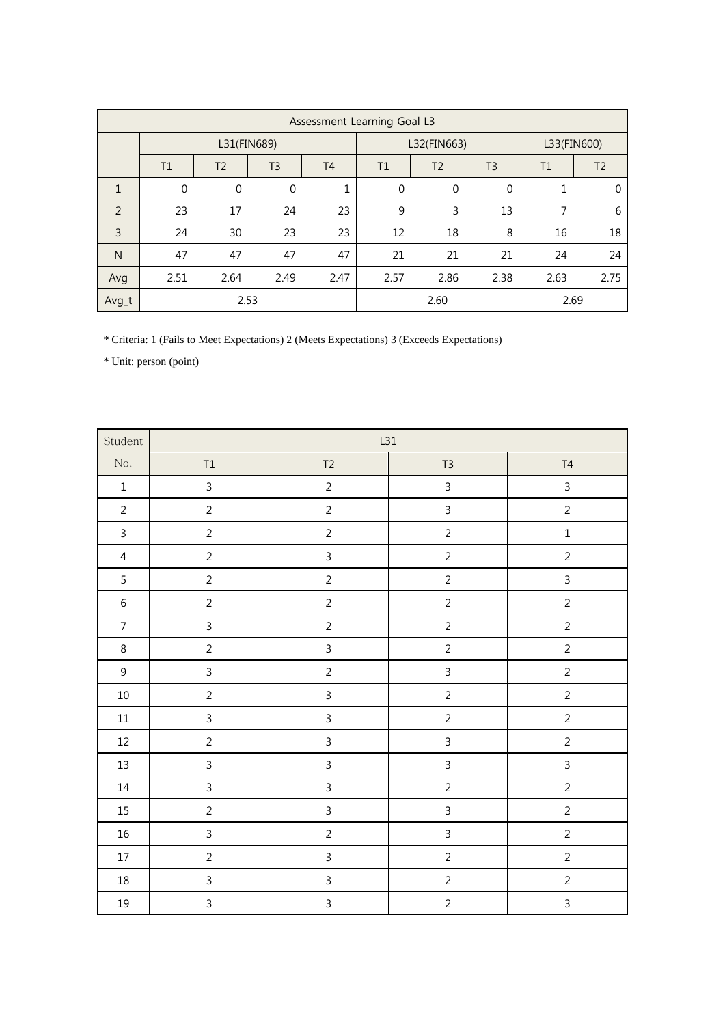|              | Assessment Learning Goal L3 |                  |                |           |              |                                  |      |             |                |
|--------------|-----------------------------|------------------|----------------|-----------|--------------|----------------------------------|------|-------------|----------------|
|              | L31(FIN689)                 |                  |                |           | L32(FIN663)  |                                  |      | L33(FIN600) |                |
|              | T1                          | T <sub>2</sub>   | T <sub>3</sub> | <b>T4</b> | T1           | T <sub>2</sub><br>T <sub>3</sub> |      |             | T <sub>2</sub> |
| $\mathbf{1}$ | $\mathbf 0$                 | $\boldsymbol{0}$ | $\mathbf 0$    | 1         | $\mathbf{0}$ | $\mathbf 0$                      | 0    |             | 0              |
| 2            | 23                          | 17               | 24             | 23        | 9            | 3                                | 13   | 7           | 6              |
| 3            | 24                          | 30               | 23             | 23        | 12           | 18                               | 8    | 16          | 18             |
| N            | 47                          | 47               | 47             | 47        | 21           | 21                               | 21   | 24          | 24             |
| Avg          | 2.51                        | 2.64             | 2.49           | 2.47      | 2.57         | 2.86                             | 2.38 | 2.63        | 2.75           |
| Avg_t        |                             | 2.53             |                |           |              | 2.60                             |      | 2.69        |                |

\* Criteria: 1 (Fails to Meet Expectations) 2 (Meets Expectations) 3 (Exceeds Expectations)

| Student        | L31            |                |                |                |  |
|----------------|----------------|----------------|----------------|----------------|--|
| $\rm No.$      | $\mathsf{T1}$  | $T2$           | $T3$           | $\mathsf{T}4$  |  |
| $\,1\,$        | $\overline{3}$ | $\overline{2}$ | $\overline{3}$ | $\overline{3}$ |  |
| $\overline{2}$ | $\overline{2}$ | $\overline{c}$ | $\overline{3}$ | $\overline{2}$ |  |
| $\overline{3}$ | $\overline{2}$ | $\overline{2}$ | $\overline{2}$ | $\mathbf 1$    |  |
| $\overline{4}$ | $\overline{2}$ | $\mathbf{3}$   | $\overline{2}$ | $\overline{2}$ |  |
| 5              | $\overline{2}$ | $\overline{2}$ | $\overline{2}$ | $\overline{3}$ |  |
| $\,$ 6 $\,$    | $\overline{2}$ | $\overline{2}$ | $\overline{2}$ | $\overline{2}$ |  |
| $\overline{7}$ | $\overline{3}$ | $\overline{2}$ | $\overline{2}$ | $\overline{2}$ |  |
| $\,8\,$        | $\overline{2}$ | $\overline{3}$ | $\overline{2}$ | $\overline{2}$ |  |
| $\mathsf 9$    | $\overline{3}$ | $\overline{2}$ | $\overline{3}$ | $\overline{c}$ |  |
| $10\,$         | $\overline{2}$ | $\overline{3}$ | $\overline{2}$ | $\overline{2}$ |  |
| $11\,$         | $\overline{3}$ | $\mathbf{3}$   | $\overline{2}$ | $\overline{2}$ |  |
| $12\,$         | $\overline{2}$ | $\mathsf{3}$   | $\overline{3}$ | $\overline{2}$ |  |
| $13\,$         | $\mathbf{3}$   | $\mathfrak{Z}$ | $\mathbf{3}$   | $\mathfrak{Z}$ |  |
| $14\,$         | $\mathfrak{Z}$ | $\overline{3}$ | $\sqrt{2}$     | $\overline{2}$ |  |
| $15\,$         | $\overline{2}$ | $\overline{3}$ | $\mathbf{3}$   | $\overline{2}$ |  |
| $16\,$         | $\mathbf{3}$   | $\overline{2}$ | $\overline{3}$ | $\overline{2}$ |  |
| $17\,$         | $\overline{2}$ | $\overline{3}$ | $\overline{2}$ | $\overline{2}$ |  |
| $18\,$         | $\overline{3}$ | $\overline{3}$ | $\overline{2}$ | $\overline{2}$ |  |
| $19\,$         | $\overline{3}$ | $\overline{3}$ | $\overline{2}$ | $\overline{3}$ |  |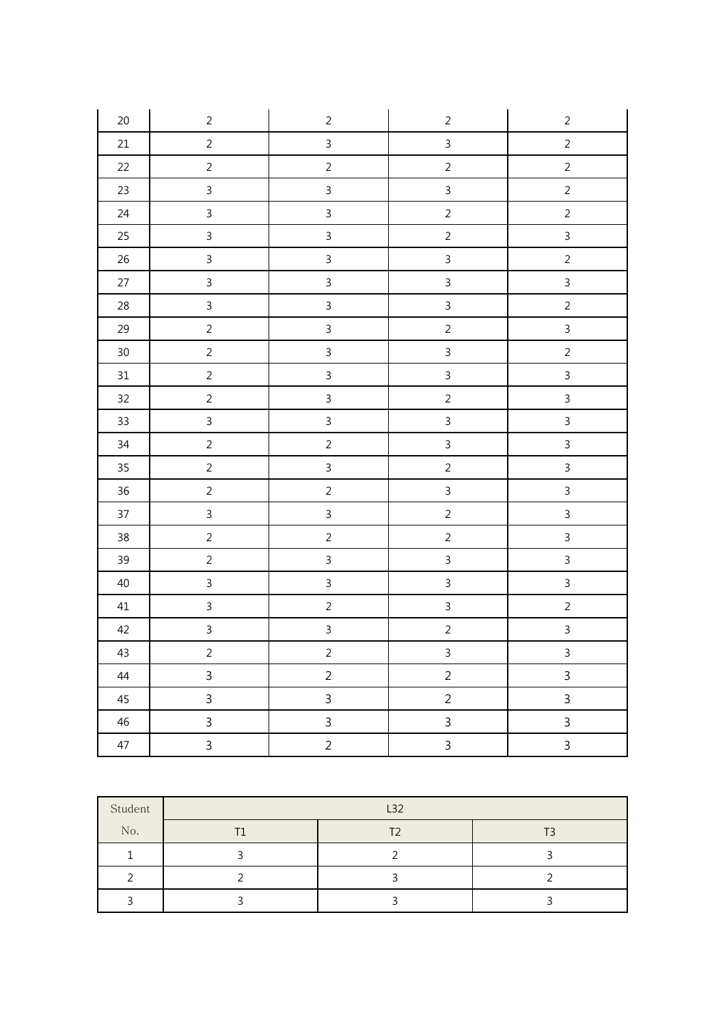| $20\,$ | $\overline{c}$          | $\overline{c}$ | $\overline{c}$ | $\sqrt{2}$     |
|--------|-------------------------|----------------|----------------|----------------|
| $21\,$ | $\overline{c}$          | $\overline{3}$ | $\overline{3}$ | $\overline{c}$ |
| 22     | $\overline{2}$          | $\overline{2}$ | $\overline{2}$ | $\overline{2}$ |
| $23\,$ | $\overline{3}$          | $\overline{3}$ | $\mathfrak{Z}$ | $\overline{2}$ |
| 24     | $\overline{3}$          | $\overline{3}$ | $\overline{2}$ | $\overline{2}$ |
| $25\,$ | $\overline{3}$          | $\overline{3}$ | $\overline{c}$ | $\overline{3}$ |
| $26\,$ | $\overline{3}$          | $\overline{3}$ | $\mathfrak{Z}$ | $\overline{2}$ |
| $27\,$ | $\overline{3}$          | $\overline{3}$ | $\overline{3}$ | $\overline{3}$ |
| $28\,$ | $\overline{3}$          | $\overline{3}$ | $\mathfrak{Z}$ | $\overline{2}$ |
| 29     | $\overline{2}$          | $\overline{3}$ | $\overline{2}$ | $\overline{3}$ |
| $30\,$ | $\overline{c}$          | $\overline{3}$ | $\overline{3}$ | $\overline{c}$ |
| $31\,$ | $\overline{c}$          | $\overline{3}$ | $\mathbf{3}$   | $\overline{3}$ |
| $32\,$ | $\overline{c}$          | $\overline{3}$ | $\overline{a}$ | $\overline{3}$ |
| $33\,$ | $\overline{3}$          | $\overline{3}$ | $\overline{3}$ | $\overline{3}$ |
| $34\,$ | $\overline{2}$          | $\overline{2}$ | $\mathbf{3}$   | $\overline{3}$ |
| $35\,$ | $\overline{c}$          | $\overline{3}$ | $\overline{a}$ | $\overline{3}$ |
| $36\,$ | $\overline{2}$          | $\overline{2}$ | $\overline{3}$ | $\overline{3}$ |
| $37\,$ | $\overline{3}$          | $\overline{3}$ | $\overline{c}$ | $\overline{3}$ |
| $38\,$ | $\overline{c}$          | $\overline{c}$ | $\overline{c}$ | $\overline{3}$ |
| 39     | $\overline{2}$          | $\overline{3}$ | $\overline{3}$ | $\overline{3}$ |
| $40\,$ | $\overline{3}$          | $\overline{3}$ | $\mathfrak{Z}$ | $\overline{3}$ |
| $41\,$ | $\mathfrak{Z}$          | $\overline{2}$ | $\mathsf{3}$   | $\overline{2}$ |
| 42     | $\overline{3}$          | $\overline{3}$ | $\overline{2}$ | $\overline{3}$ |
| 43     | $\overline{c}$          | $\overline{c}$ | $\overline{3}$ | $\mathbf{3}$   |
| $44\,$ | $\overline{\mathbf{3}}$ | $\overline{c}$ | $\overline{c}$ | $\overline{3}$ |
| 45     | $\overline{3}$          | $\overline{3}$ | $\overline{2}$ | $\overline{3}$ |
| 46     | $\mathsf{3}$            | $\overline{3}$ | $\overline{3}$ | $\overline{3}$ |
| $47\,$ | $\mathsf{3}$            | $\overline{2}$ | $\mathfrak{Z}$ | $\overline{3}$ |

| Student | L32 |  |  |  |  |  |
|---------|-----|--|--|--|--|--|
| No.     |     |  |  |  |  |  |
|         |     |  |  |  |  |  |
|         |     |  |  |  |  |  |
|         |     |  |  |  |  |  |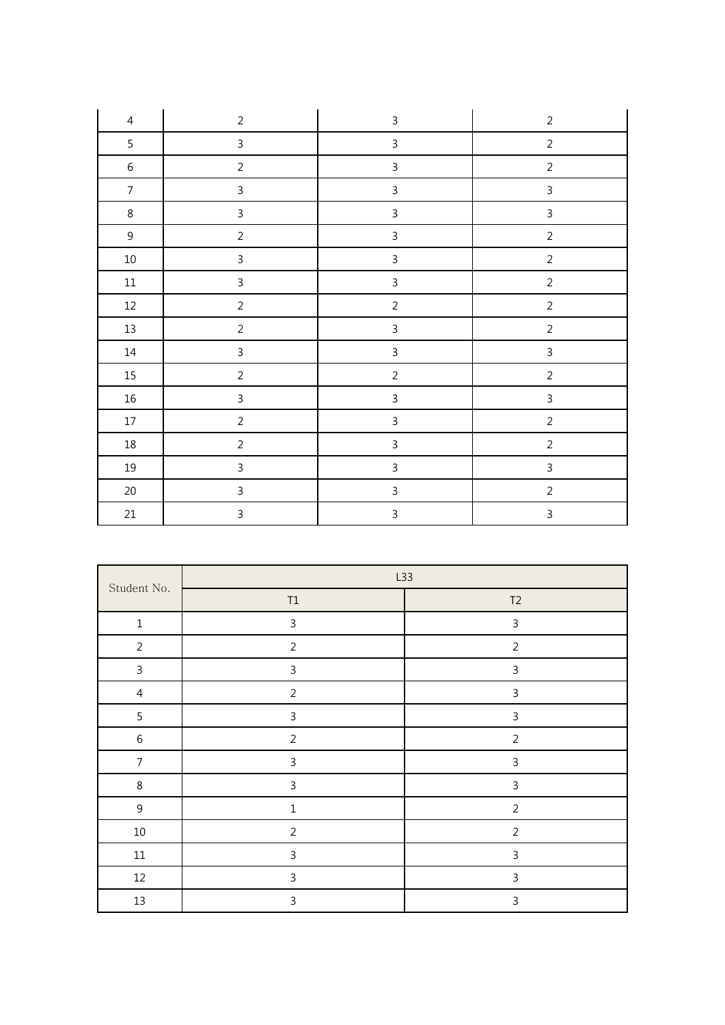| $\overline{4}$ | $\overline{2}$ | $\mathsf{3}$            | $\overline{2}$ |
|----------------|----------------|-------------------------|----------------|
| 5              | $\overline{3}$ | $\overline{3}$          | $\overline{2}$ |
| $\,$ 6 $\,$    | $\overline{2}$ | $\mathbf{3}$            | $\overline{2}$ |
| $\overline{7}$ | $\overline{3}$ | $\mathsf{3}$            | $\overline{3}$ |
| $\,8\,$        | $\overline{3}$ | $\overline{3}$          | $\mathbf{3}$   |
| $\mathsf 9$    | $\overline{2}$ | $\overline{3}$          | $\sqrt{2}$     |
| $10\,$         | $\overline{3}$ | $\overline{3}$          | $\overline{c}$ |
| $11\,$         | $\overline{3}$ | $\overline{3}$          | $\overline{2}$ |
| $12\,$         | $\overline{2}$ | $\overline{c}$          | $\sqrt{2}$     |
| $13\,$         | $\overline{2}$ | $\overline{3}$          | $\overline{c}$ |
| $14\,$         | $\overline{3}$ | $\overline{\mathbf{3}}$ | $\overline{3}$ |
| $15\,$         | $\overline{2}$ | $\overline{c}$          | $\overline{2}$ |
| $16\,$         | $\overline{3}$ | $\mathbf{3}$            | $\overline{3}$ |
| $17\,$         | $\overline{c}$ | $\overline{3}$          | $\overline{2}$ |
| $18\,$         | $\overline{2}$ | $\mathsf{3}$            | $\overline{2}$ |
| $19\,$         | $\mathsf{3}$   | $\mathsf 3$             | $\mathsf{3}$   |
| $20\,$         | $\overline{3}$ | $\mathsf{3}$            | $\sqrt{2}$     |
| $21\,$         | $\mathsf{3}$   | $\mathsf{3}$            | $\overline{3}$ |

| Student No.    | L33            |                |  |  |
|----------------|----------------|----------------|--|--|
|                | $\mathsf{T1}$  | T2             |  |  |
| $\mathbf 1$    | $\mathsf{3}$   | $\mathsf{3}$   |  |  |
| $\overline{2}$ | $\overline{2}$ | $\overline{2}$ |  |  |
| $\mathbf{3}$   | $\mathbf{3}$   | $\mathsf{3}$   |  |  |
| $\overline{4}$ | $\overline{2}$ | $\mathsf{3}$   |  |  |
| 5              | $\mathsf{3}$   | $\mathsf{3}$   |  |  |
| $\,6\,$        | $\overline{2}$ | $\overline{2}$ |  |  |
| $\overline{7}$ | $\mathbf{3}$   | $\mathbf{3}$   |  |  |
| $\,8\,$        | $\mathsf{3}$   | $\mathsf 3$    |  |  |
| $9\,$          | $\mathbf 1$    | $\overline{2}$ |  |  |
| $10\,$         | $\overline{2}$ | $\overline{2}$ |  |  |
| $11\,$         | $\mathbf{3}$   | $\mathsf{3}$   |  |  |
| $12\,$         | $\mathsf{3}$   | 3              |  |  |
| 13             | $\mathsf{3}$   | $\mathsf{3}$   |  |  |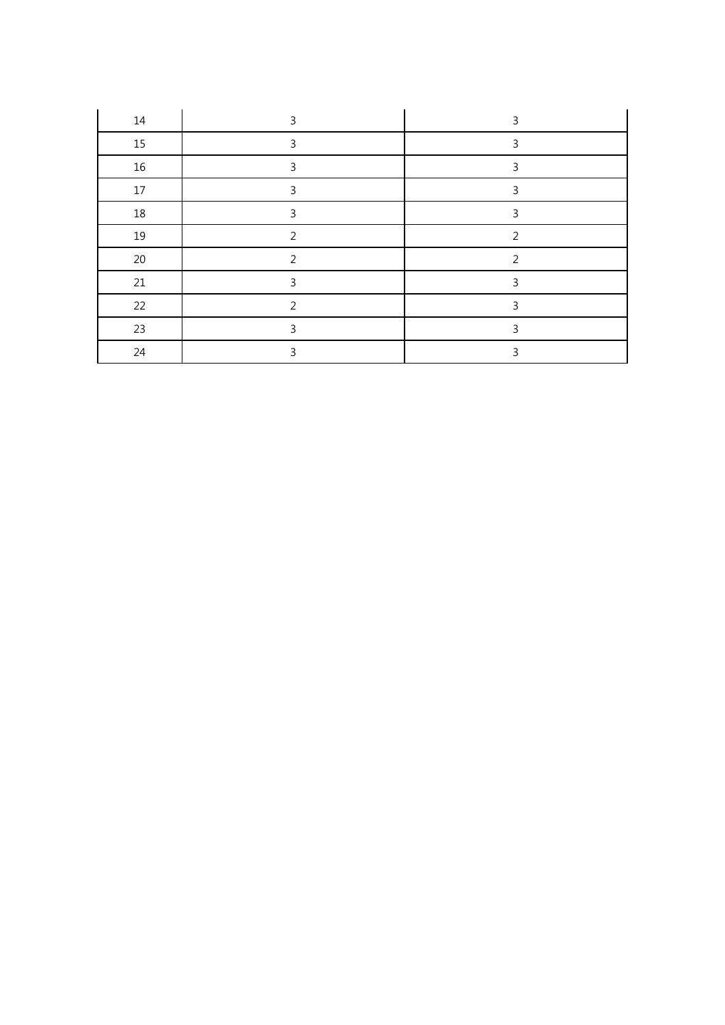| 14     | 3              | 3              |
|--------|----------------|----------------|
| 15     | 3              | 3              |
| $16\,$ | 3              | ς              |
| 17     | 3              | 3              |
| $18\,$ | 3              | 3              |
| 19     | $\mathcal{P}$  | $\mathcal{P}$  |
| $20\,$ | 2              | $\overline{2}$ |
| 21     | 3              | 3              |
| 22     | $\overline{2}$ | 3              |
| 23     | 3              | 3              |
| 24     | 3              | ς              |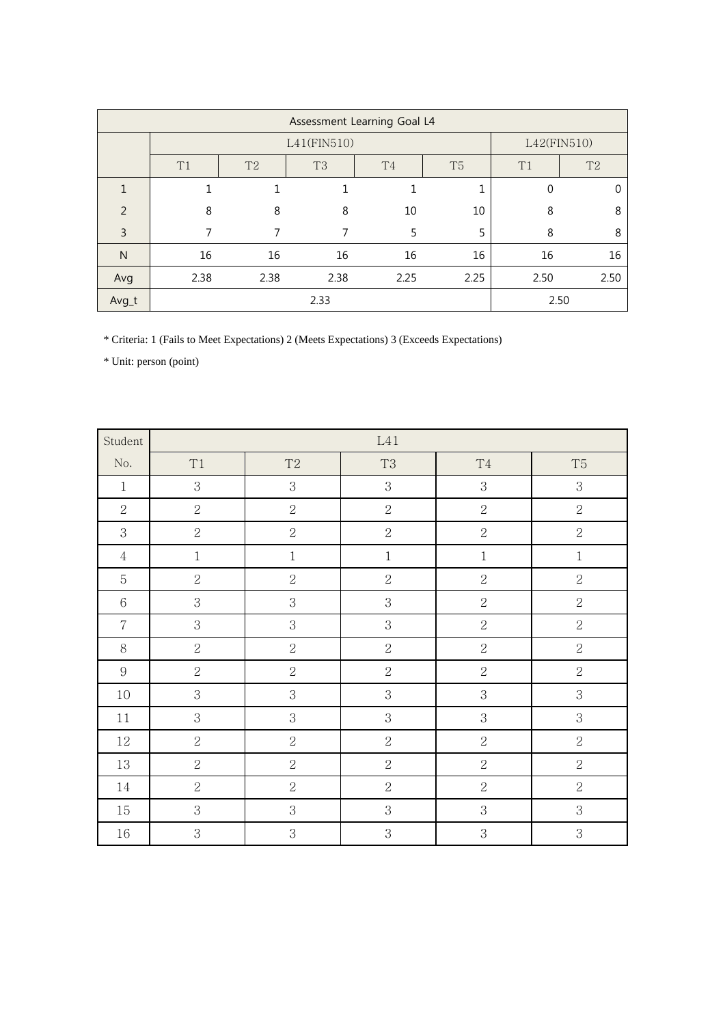|               | Assessment Learning Goal L4 |                |             |                |                |      |                |  |
|---------------|-----------------------------|----------------|-------------|----------------|----------------|------|----------------|--|
|               |                             |                | L41(FIN510) |                |                |      | L42(FIN510)    |  |
|               | T1                          | T <sub>2</sub> | T3          | T <sub>4</sub> | T <sub>5</sub> | T1   | T <sub>2</sub> |  |
|               |                             |                |             |                | $\mathbf{1}$   | 0    | $\Omega$       |  |
| $\mathcal{P}$ | 8                           | 8              | 8           | 10             | 10             | 8    | 8              |  |
| 3             |                             |                |             | 5              | 5              | 8    | 8              |  |
| N             | 16                          | 16             | 16          | 16             | 16             | 16   | 16             |  |
| Avg           | 2.38                        | 2.38           | 2.38        | 2.25           | 2.25           | 2.50 | 2.50           |  |
| Avg_t         |                             |                | 2.33        |                |                |      | 2.50           |  |

\* Criteria: 1 (Fails to Meet Expectations) 2 (Meets Expectations) 3 (Exceeds Expectations)

| Student          | L41            |                |                |                |                |
|------------------|----------------|----------------|----------------|----------------|----------------|
| No.              | T1             | $\mathrm{T}2$  | <b>T3</b>      | $\mathrm{T}4$  | $\rm{T}5$      |
| $\mathbf{1}$     | 3              | 3              | 3              | 3              | $\mathbf{3}$   |
| $\overline{2}$   | $\sqrt{2}$     | $\overline{2}$ | $\overline{2}$ | $\sqrt{2}$     | $\overline{2}$ |
| 3                | $\sqrt{2}$     | $\overline{2}$ | $\overline{2}$ | $\sqrt{2}$     | $\sqrt{2}$     |
| $\sqrt{4}$       | $\,1$          | $\,1$          | $\,1$          | $\,1$          | $\,1\,$        |
| $\mathbf 5$      | $\overline{2}$ | $\overline{2}$ | $\overline{2}$ | $\sqrt{2}$     | $\sqrt{2}$     |
| $\,6\,$          | $\mathbf{3}$   | 3              | $\,3$          | $\sqrt{2}$     | $\sqrt{2}$     |
| $\overline{7}$   | $\mathbf{3}$   | 3              | $\mathbf{3}$   | $\sqrt{2}$     | $\sqrt{2}$     |
| $8\,$            | $\sqrt{2}$     | $\overline{2}$ | $\sqrt{2}$     | $\sqrt{2}$     | $\sqrt{2}$     |
| $\boldsymbol{9}$ | $\sqrt{2}$     | $\overline{2}$ | $\overline{2}$ | $\overline{2}$ | $\sqrt{2}$     |
| 10               | $\mathbf 3$    | 3              | 3              | $\,3$          | $\,3$          |
| 11               | $\mathbf 3$    | $\mathbf 3$    | $\,3$          | $\,3$          | $\,3$          |
| 12               | $\sqrt{2}$     | $\overline{2}$ | $\overline{2}$ | $\sqrt{2}$     | $\overline{2}$ |
| 13               | $\sqrt{2}$     | $\sqrt{2}$     | $\overline{2}$ | $\sqrt{2}$     | $\overline{2}$ |
| $14\,$           | $\sqrt{2}$     | $\overline{2}$ | $\overline{2}$ | $\sqrt{2}$     | $\overline{2}$ |
| $15\,$           | 3              | 3              | $\,3$          | $\,3$          | $\,3$          |
| $16\,$           | 3              | 3              | 3              | 3              | $\,3$          |